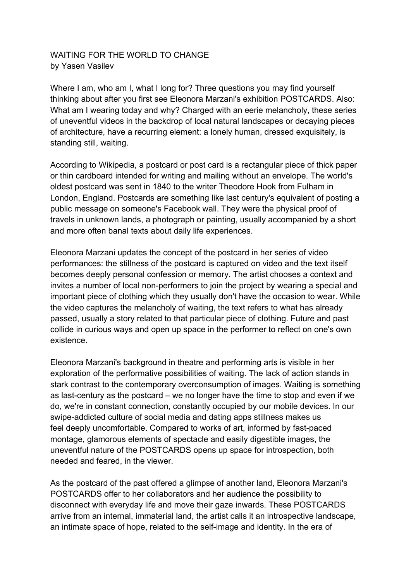## WAITING FOR THE WORLD TO CHANGE by Yasen Vasilev

Where I am, who am I, what I long for? Three questions you may find yourself thinking about after you first see Eleonora Marzani's exhibition POSTCARDS. Also: What am I wearing today and why? Charged with an eerie melancholy, these series of uneventful videos in the backdrop of local natural landscapes or decaying pieces of architecture, have a recurring element: a lonely human, dressed exquisitely, is standing still, waiting.

According to Wikipedia, a postcard or post card is a rectangular piece of thick paper or thin cardboard intended for writing and mailing without an envelope. The world's oldest postcard was sent in 1840 to the writer Theodore Hook from Fulham in London, England. Postcards are something like last century's equivalent of posting a public message on someone's Facebook wall. They were the physical proof of travels in unknown lands, a photograph or painting, usually accompanied by a short and more often banal texts about daily life experiences.

Eleonora Marzani updates the concept of the postcard in her series of video performances: the stillness of the postcard is captured on video and the text itself becomes deeply personal confession or memory. The artist chooses a context and invites a number of local non-performers to join the project by wearing a special and important piece of clothing which they usually don't have the occasion to wear. While the video captures the melancholy of waiting, the text refers to what has already passed, usually a story related to that particular piece of clothing. Future and past collide in curious ways and open up space in the performer to reflect on one's own existence.

Eleonora Marzani's background in theatre and performing arts is visible in her exploration of the performative possibilities of waiting. The lack of action stands in stark contrast to the contemporary overconsumption of images. Waiting is something as last-century as the postcard – we no longer have the time to stop and even if we do, we're in constant connection, constantly occupied by our mobile devices. In our swipe-addicted culture of social media and dating apps stillness makes us feel deeply uncomfortable. Compared to works of art, informed by fast-paced montage, glamorous elements of spectacle and easily digestible images, the uneventful nature of the POSTCARDS opens up space for introspection, both needed and feared, in the viewer.

As the postcard of the past offered a glimpse of another land, Eleonora Marzani's POSTCARDS offer to her collaborators and her audience the possibility to disconnect with everyday life and move their gaze inwards. These POSTCARDS arrive from an internal, immaterial land, the artist calls it an introspective landscape, an intimate space of hope, related to the self-image and identity. In the era of